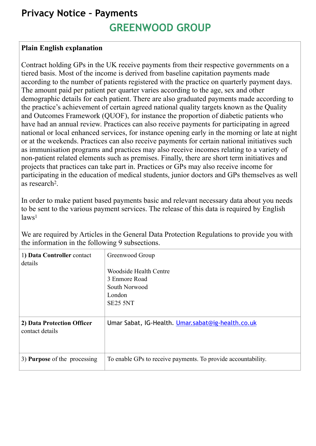## **Privacy Notice – Payments GREENWOOD GROUP**

## **Plain English explanation**

Contract holding GPs in the UK receive payments from their respective governments on a tiered basis. Most of the income is derived from baseline capitation payments made according to the number of patients registered with the practice on quarterly payment days. The amount paid per patient per quarter varies according to the age, sex and other demographic details for each patient. There are also graduated payments made according to the practice's achievement of certain agreed national quality targets known as the Quality and Outcomes Framework (QUOF), for instance the proportion of diabetic patients who have had an annual review. Practices can also receive payments for participating in agreed national or local enhanced services, for instance opening early in the morning or late at night or at the weekends. Practices can also receive payments for certain national initiatives such as immunisation programs and practices may also receive incomes relating to a variety of non-patient related elements such as premises. Finally, there are short term initiatives and projects that practices can take part in. Practices or GPs may also receive income for participating in the education of medical students, junior doctors and GPs themselves as well as research2.

In order to make patient based payments basic and relevant necessary data about you needs to be sent to the various payment services. The release of this data is required by English laws<sup>1</sup>

We are required by Articles in the General Data Protection Regulations to provide you with the information in the following 9 subsections.

| 1) Data Controller contact<br>details         | Greenwood Group<br>Woodside Health Centre<br>3 Enmore Road<br>South Norwood<br>London<br>SE25 5NT |
|-----------------------------------------------|---------------------------------------------------------------------------------------------------|
| 2) Data Protection Officer<br>contact details | Umar Sabat, IG-Health. Umar.sabat@ig-health.co.uk                                                 |
| 3) <b>Purpose</b> of the processing           | To enable GPs to receive payments. To provide accountability.                                     |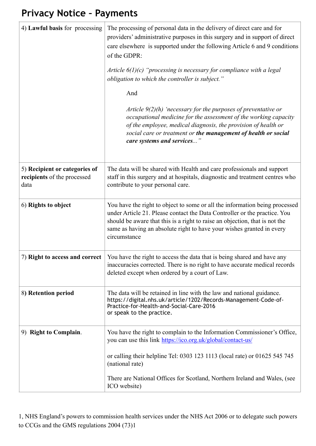## **Privacy Notice – Payments**

| 4) Lawful basis for processing                                       | The processing of personal data in the delivery of direct care and for<br>providers' administrative purposes in this surgery and in support of direct<br>care elsewhere is supported under the following Article 6 and 9 conditions<br>of the GDPR:<br>Article $6(1)(c)$ "processing is necessary for compliance with a legal<br>obligation to which the controller is subject."<br>And<br>Article $9(2)(h)$ 'necessary for the purposes of preventative or<br>occupational medicine for the assessment of the working capacity<br>of the employee, medical diagnosis, the provision of health or<br>social care or treatment or the management of health or social<br>care systems and services" |
|----------------------------------------------------------------------|---------------------------------------------------------------------------------------------------------------------------------------------------------------------------------------------------------------------------------------------------------------------------------------------------------------------------------------------------------------------------------------------------------------------------------------------------------------------------------------------------------------------------------------------------------------------------------------------------------------------------------------------------------------------------------------------------|
| 5) Recipient or categories of<br>recipients of the processed<br>data | The data will be shared with Health and care professionals and support<br>staff in this surgery and at hospitals, diagnostic and treatment centres who<br>contribute to your personal care.                                                                                                                                                                                                                                                                                                                                                                                                                                                                                                       |
| 6) Rights to object                                                  | You have the right to object to some or all the information being processed<br>under Article 21. Please contact the Data Controller or the practice. You<br>should be aware that this is a right to raise an objection, that is not the<br>same as having an absolute right to have your wishes granted in every<br>circumstance                                                                                                                                                                                                                                                                                                                                                                  |
| 7) Right to access and correct                                       | You have the right to access the data that is being shared and have any<br>inaccuracies corrected. There is no right to have accurate medical records<br>deleted except when ordered by a court of Law.                                                                                                                                                                                                                                                                                                                                                                                                                                                                                           |
| 8) Retention period                                                  | The data will be retained in line with the law and national guidance.<br>https://digital.nhs.uk/article/1202/Records-Management-Code-of-<br>Practice-for-Health-and-Social-Care-2016<br>or speak to the practice.                                                                                                                                                                                                                                                                                                                                                                                                                                                                                 |
| 9) Right to Complain.                                                | You have the right to complain to the Information Commissioner's Office,<br>you can use this link https://ico.org.uk/global/contact-us/                                                                                                                                                                                                                                                                                                                                                                                                                                                                                                                                                           |
|                                                                      | or calling their helpline Tel: 0303 123 1113 (local rate) or 01625 545 745<br>(national rate)                                                                                                                                                                                                                                                                                                                                                                                                                                                                                                                                                                                                     |
|                                                                      | There are National Offices for Scotland, Northern Ireland and Wales, (see<br>ICO website)                                                                                                                                                                                                                                                                                                                                                                                                                                                                                                                                                                                                         |

1, NHS England's powers to commission health services under the NHS Act 2006 or to delegate such powers to CCGs and the GMS regulations 2004 (73)1